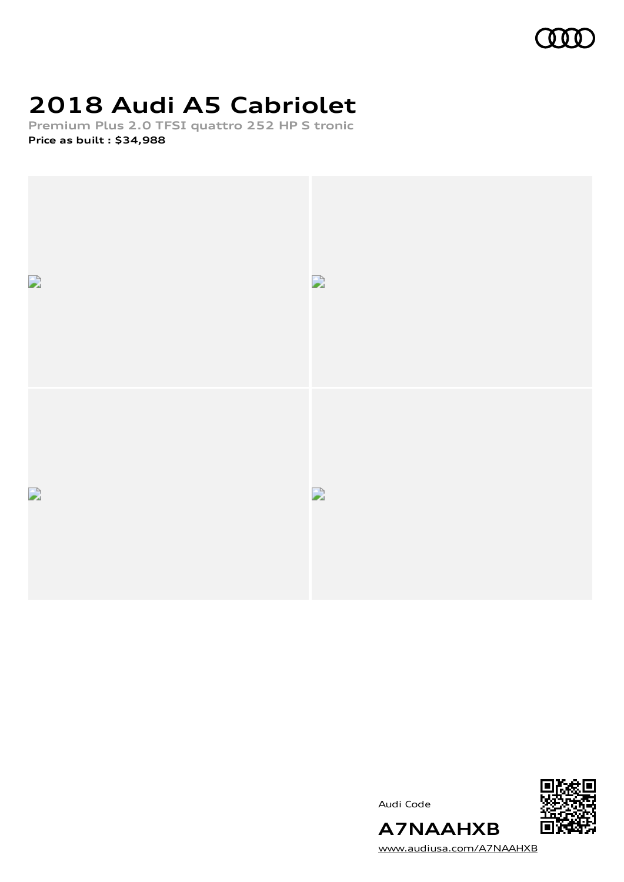# **2018 Audi A5 Cabriolet**

**Premium Plus 2.0 TFSI quattro 252 HP S tronic Price as built [:](#page-7-0) \$34,988**



Audi Code



[www.audiusa.com/A7NAAHXB](https://www.audiusa.com/A7NAAHXB)

**A7NAAHXB**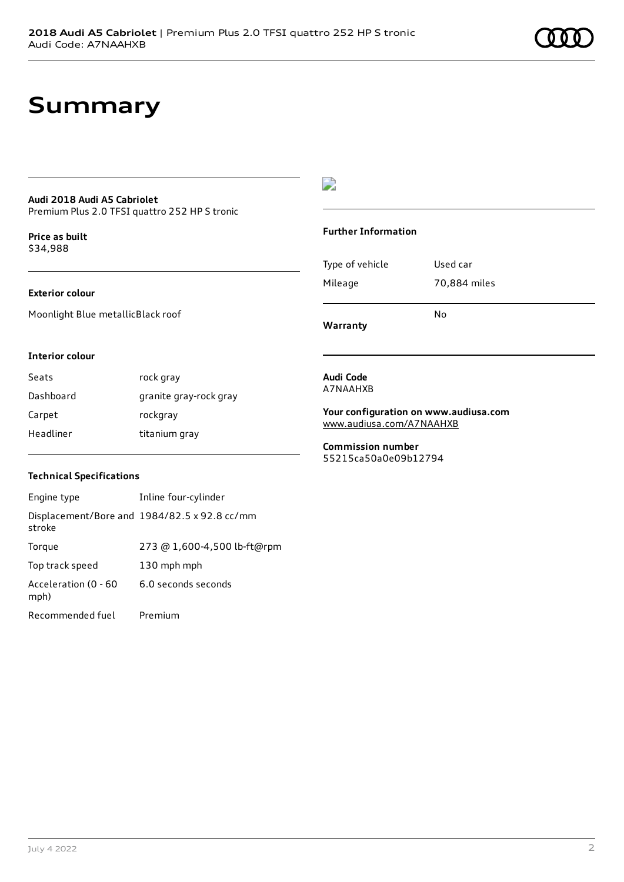# **Summary**

#### **Audi 2018 Audi A5 Cabriolet** Premium Plus 2.0 TFSI quattro 252 HP S tronic

**Price as buil[t](#page-7-0)** \$34,988

### **Exterior colour**

Moonlight Blue metallicBlack roof

# $\overline{\phantom{a}}$

### **Further Information**

Type of vehicle Used car Mileage 70,884 miles No

**Warranty**

### **Interior colour**

Seats rock gray Dashboard granite gray-rock gray Carpet rockgray Headliner titanium gray

#### **Audi Code** A7NAAHXB

**Your configuration on www.audiusa.com** [www.audiusa.com/A7NAAHXB](https://www.audiusa.com/A7NAAHXB)

**Commission number** 55215ca50a0e09b12794

### **Technical Specifications**

| Engine type                  | Inline four-cylinder                         |
|------------------------------|----------------------------------------------|
| stroke                       | Displacement/Bore and 1984/82.5 x 92.8 cc/mm |
| Torque                       | 273 @ 1,600-4,500 lb-ft@rpm                  |
| Top track speed              | 130 mph mph                                  |
| Acceleration (0 - 60<br>mph) | 6.0 seconds seconds                          |
| Recommended fuel             | Premium                                      |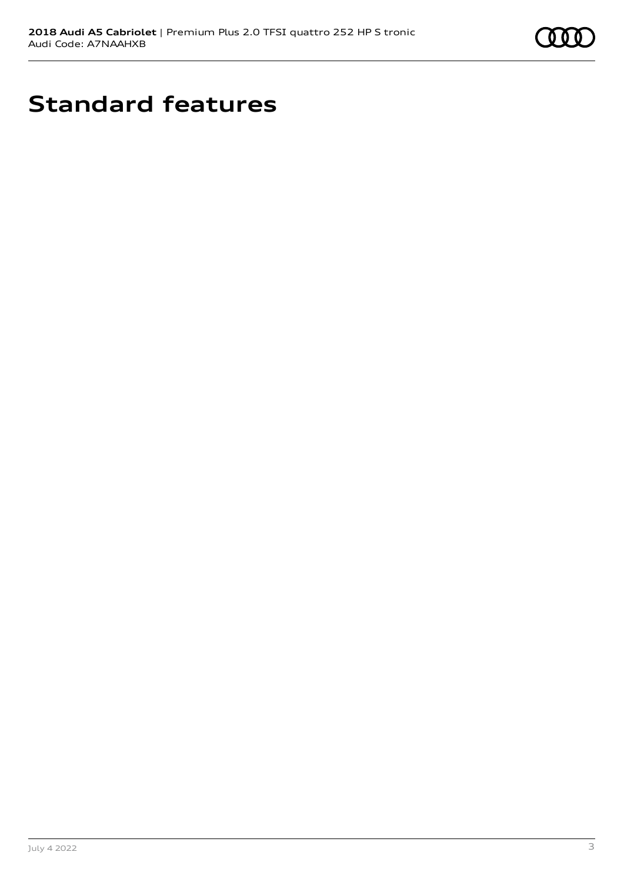

# **Standard features**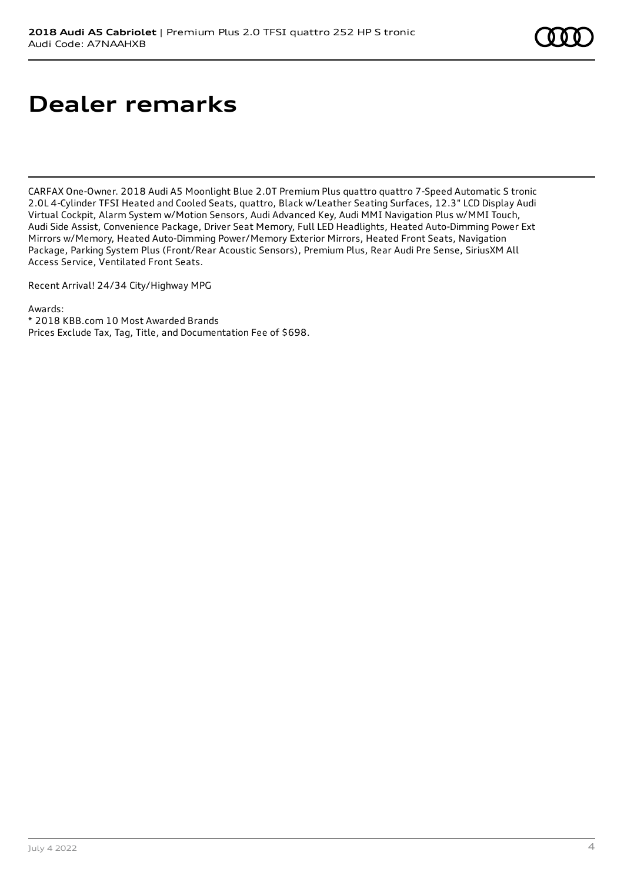# **Dealer remarks**

CARFAX One-Owner. 2018 Audi A5 Moonlight Blue 2.0T Premium Plus quattro quattro 7-Speed Automatic S tronic 2.0L 4-Cylinder TFSI Heated and Cooled Seats, quattro, Black w/Leather Seating Surfaces, 12.3" LCD Display Audi Virtual Cockpit, Alarm System w/Motion Sensors, Audi Advanced Key, Audi MMI Navigation Plus w/MMI Touch, Audi Side Assist, Convenience Package, Driver Seat Memory, Full LED Headlights, Heated Auto-Dimming Power Ext Mirrors w/Memory, Heated Auto-Dimming Power/Memory Exterior Mirrors, Heated Front Seats, Navigation Package, Parking System Plus (Front/Rear Acoustic Sensors), Premium Plus, Rear Audi Pre Sense, SiriusXM All Access Service, Ventilated Front Seats.

Recent Arrival! 24/34 City/Highway MPG

Awards:

\* 2018 KBB.com 10 Most Awarded Brands Prices Exclude Tax, Tag, Title, and Documentation Fee of \$698.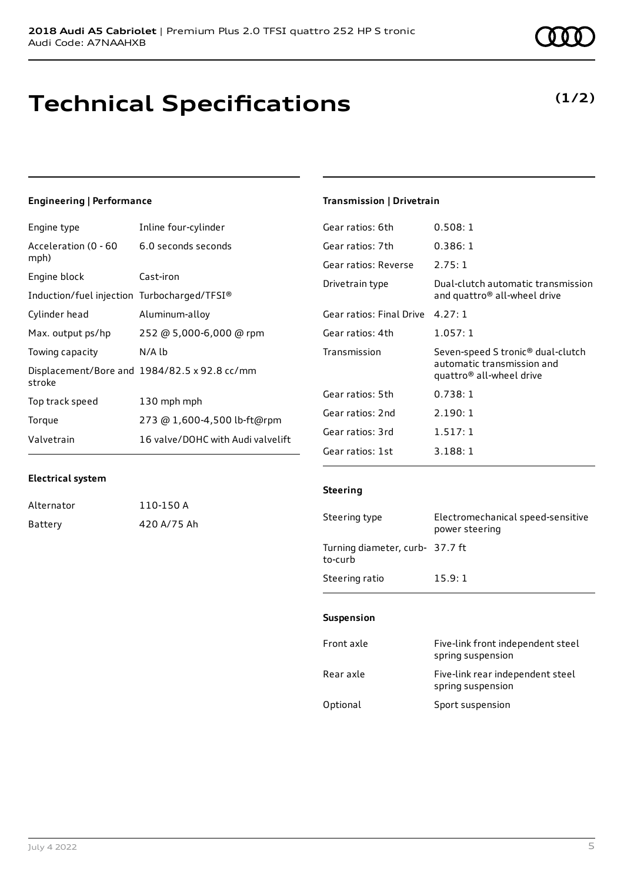# **Technical Specifications**

# **Engineering | Performance**

| Engine type                                 | Inline four-cylinder                         |
|---------------------------------------------|----------------------------------------------|
| Acceleration (0 - 60<br>mph)                | 6.0 seconds seconds                          |
| Engine block                                | Cast-iron                                    |
| Induction/fuel injection Turbocharged/TFSI® |                                              |
| Cylinder head                               | Aluminum-alloy                               |
| Max. output ps/hp                           | 252 @ 5,000-6,000 @ rpm                      |
| Towing capacity                             | N/A lb                                       |
| stroke                                      | Displacement/Bore and 1984/82.5 x 92.8 cc/mm |
| Top track speed                             | 130 mph mph                                  |
| Torque                                      | 273 @ 1,600-4,500 lb-ft@rpm                  |
| Valvetrain                                  | 16 valve/DOHC with Audi valvelift            |

### **Transmission | Drivetrain**

| Gear ratios: 6th         | 0.508:1                                                                                     |
|--------------------------|---------------------------------------------------------------------------------------------|
| Gear ratios: 7th         | 0.386:1                                                                                     |
| Gear ratios: Reverse     | 2.75:1                                                                                      |
| Drivetrain type          | Dual-clutch automatic transmission<br>and quattro <sup>®</sup> all-wheel drive              |
| Gear ratios: Final Drive | 4.27:1                                                                                      |
| Gear ratios: 4th         | 1.057:1                                                                                     |
| Transmission             | Seven-speed S tronic® dual-clutch<br>automatic transmission and<br>quattro® all-wheel drive |
| Gear ratios: 5th         | 0.738:1                                                                                     |
| Gear ratios: 2nd         | 2.190:1                                                                                     |
| Gear ratios: 3rd         | 1.517:1                                                                                     |
| Gear ratios: 1st         | 3.188:1                                                                                     |

### **Electrical system**

| Alternator | 110-150 A   |
|------------|-------------|
| Battery    | 420 A/75 Ah |

### **Steering**

| Steering type                              | Electromechanical speed-sensitive<br>power steering |
|--------------------------------------------|-----------------------------------------------------|
| Turning diameter, curb- 37.7 ft<br>to-curb |                                                     |
| Steering ratio                             | 15.9:1                                              |

#### **Suspension**

| Front axle | Five-link front independent steel<br>spring suspension |
|------------|--------------------------------------------------------|
| Rear axle  | Five-link rear independent steel<br>spring suspension  |
| Optional   | Sport suspension                                       |

# **(1/2)**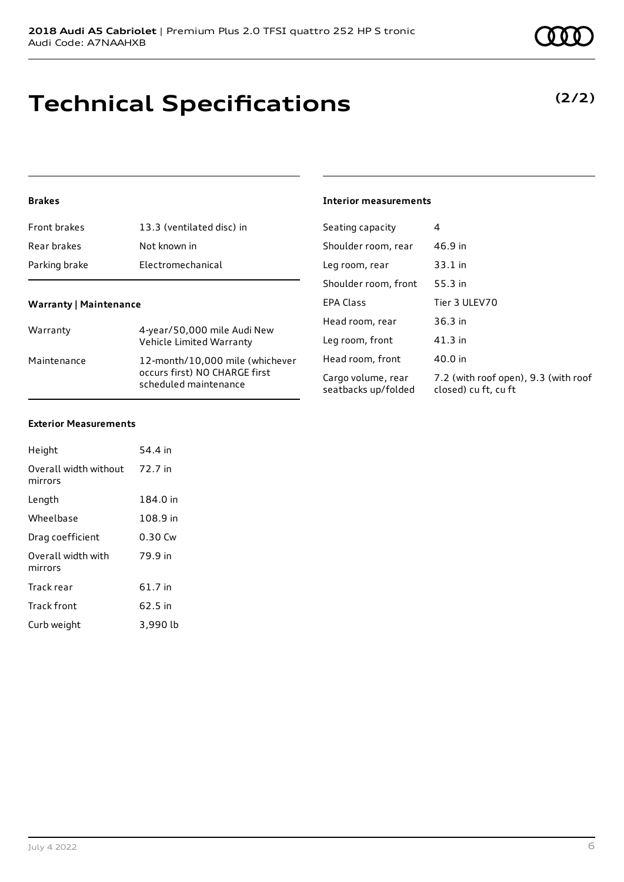# **Technical Specifications**

# **Brakes**

| 13.3 (ventilated disc) in                                                                                | Seating capacity                                             | 4                                                            |
|----------------------------------------------------------------------------------------------------------|--------------------------------------------------------------|--------------------------------------------------------------|
| Not known in                                                                                             | Shoulder room, rear                                          | 46.9 in                                                      |
| Electromechanical                                                                                        | Leg room, rear                                               | $33.1$ in                                                    |
|                                                                                                          | Shoulder room, front                                         | 55.3 in                                                      |
|                                                                                                          | <b>EPA Class</b>                                             | Tier 3 ULEV70                                                |
| Warranty                                                                                                 | Head room, rear                                              | 36.3 in                                                      |
| Vehicle Limited Warranty                                                                                 | Leg room, front                                              | $41.3$ in                                                    |
| 12-month/10,000 mile (whichever<br>Maintenance<br>occurs first) NO CHARGE first<br>scheduled maintenance | Head room, front                                             | 40.0 in                                                      |
|                                                                                                          | Cargo volume, rear<br>seatbacks up/folded                    | 7.2 (with roof open), 9.3 (with roof<br>closed) cu ft, cu ft |
|                                                                                                          | <b>Warranty   Maintenance</b><br>4-year/50,000 mile Audi New |                                                              |

**Interior measurements**

### **Exterior Measurements**

| Height                           | 54.4 in  |
|----------------------------------|----------|
| Overall width without<br>mirrors | 72.7 in  |
| Length                           | 184.0 in |
| Wheelbase                        | 108.9 in |
| Drag coefficient                 | 0.30 Cw  |
| Overall width with<br>mirrors    | 79.9 in  |
| Track rear                       | 61.7 in  |
| <b>Track front</b>               | 62.5 in  |
| Curb weight                      | 3,990 lb |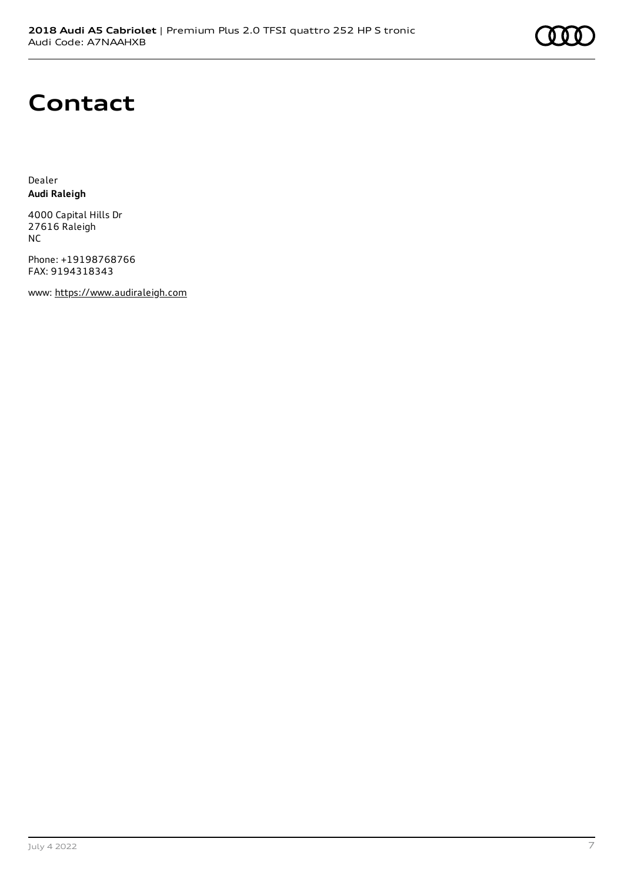

# **Contact**

Dealer **Audi Raleigh**

4000 Capital Hills Dr 27616 Raleigh NC

Phone: +19198768766 FAX: 9194318343

www: [https://www.audiraleigh.com](https://www.audiraleigh.com/)